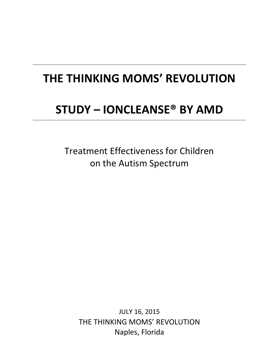# **THE THINKING MOMS' REVOLUTION**

# **STUDY – IONCLEANSE® BY AMD**

Treatment Effectiveness for Children on the Autism Spectrum

JULY 16, 2015 THE THINKING MOMS' REVOLUTION Naples, Florida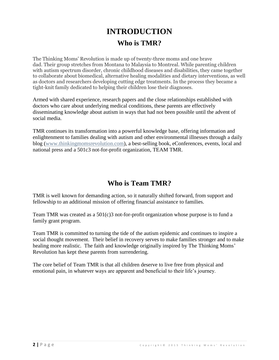# **INTRODUCTION Who is TMR?**

The Thinking Moms' Revolution is made up of twenty-three moms and one brave dad. Their group stretches from Montana to Malaysia to Montreal. While parenting children with autism spectrum disorder, chronic childhood diseases and disabilities, they came together to collaborate about biomedical, alternative healing modalities and dietary interventions, as well as doctors and researchers developing cutting edge treatments. In the process they became a tight-knit family dedicated to helping their children lose their diagnoses.

Armed with shared experience, research papers and the close relationships established with doctors who care about underlying medical conditions, these parents are effectively disseminating knowledge about autism in ways that had not been possible until the advent of social media.

TMR continues its transformation into a powerful knowledge base, offering information and enlightenment to families dealing with autism and other environmental illnesses through a daily blog [\(www.thinkingmomsrevolution.com\)](http://www.thinkingmomsrevolution.com/), a best-selling book, eConferences, events, local and national press and a 501c3 not-for-profit organization, TEAM TMR.

# **Who is Team TMR?**

TMR is well known for demanding action, so it naturally shifted forward, from support and fellowship to an additional mission of offering financial assistance to families.

Team TMR was created as a 501(c)3 not-for-profit organization whose purpose is to fund a family grant program.

Team TMR is committed to turning the tide of the autism epidemic and continues to inspire a social thought movement. Their belief in recovery serves to make families stronger and to make healing more realistic. The faith and knowledge originally inspired by The Thinking Moms' Revolution has kept these parents from surrendering.

The core belief of Team TMR is that all children deserve to live free from physical and emotional pain, in whatever ways are apparent and beneficial to their life's journey.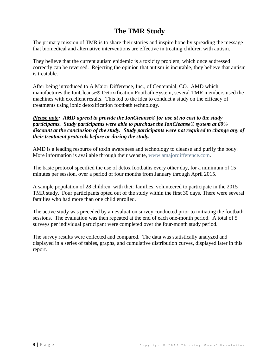# **The TMR Study**

The primary mission of TMR is to share their stories and inspire hope by spreading the message that biomedical and alternative interventions are effective in treating children with autism.

They believe that the current autism epidemic is a toxicity problem, which once addressed correctly can be reversed. Rejecting the opinion that autism is incurable, they believe that autism is treatable.

After being introduced to A Major Difference, Inc., of Centennial, CO. AMD which manufactures the IonCleanse® Detoxification Footbath System, several TMR members used the machines with excellent results. This led to the idea to conduct a study on the efficacy of treatments using ionic detoxification footbath technology.

### *Please note: AMD agreed to provide the IonCleanse® for use at no cost to the study participants. Study participants were able to purchase the IonCleanse® system at 60% discount at the conclusion of the study. Study participants were not required to change any of their treatment protocols before or during the study.*

AMD is a leading resource of toxin awareness and technology to cleanse and purify the body. More information is available through their website, [www.amajordifference.com.](file:///C:/Users/gwilhelm/AppData/Local/Microsoft/Windows/Temporary%20Internet%20Files/Content.Outlook/RSKH6VMO/www.amajordifference.com)

The basic protocol specified the use of detox footbaths every other day, for a minimum of 15 minutes per session, over a period of four months from January through April 2015.

A sample population of 28 children, with their families, volunteered to participate in the 2015 TMR study. Four participants opted out of the study within the first 30 days. There were several families who had more than one child enrolled.

The active study was preceded by an evaluation survey conducted prior to initiating the footbath sessions. The evaluation was then repeated at the end of each one-month period. A total of 5 surveys per individual participant were completed over the four-month study period.

The survey results were collected and compared. The data was statistically analyzed and displayed in a series of tables, graphs, and cumulative distribution curves, displayed later in this report.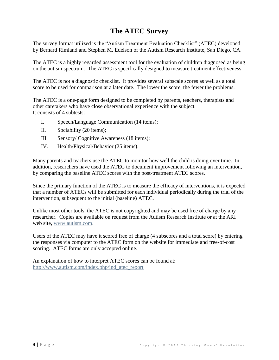## **The ATEC Survey**

The survey format utilized is the "Autism Treatment Evaluation Checklist" (ATEC) developed by Bernard Rimland and Stephen M. Edelson of the Autism Research Institute, San Diego, CA.

The ATEC is a highly regarded assessment tool for the evaluation of children diagnosed as being on the autism spectrum. The ATEC is specifically designed to measure treatment effectiveness.

The ATEC is not a diagnostic checklist. It provides several subscale scores as well as a total score to be used for comparison at a later date. The lower the score, the fewer the problems.

The ATEC is a one-page form designed to be completed by parents, teachers, therapists and other caretakers who have close observational experience with the subject. It consists of 4 subtests:

- I. Speech/Language Communication (14 items);
- II. Sociability (20 items);
- III. Sensory/ Cognitive Awareness (18 items);
- IV. Health/Physical/Behavior (25 items).

Many parents and teachers use the ATEC to monitor how well the child is doing over time. In addition, researchers have used the ATEC to document improvement following an intervention, by comparing the baseline ATEC scores with the post-treatment ATEC scores.

Since the primary function of the ATEC is to measure the efficacy of interventions, it is expected that a number of ATECs will be submitted for each individual periodically during the trial of the intervention, subsequent to the initial (baseline) ATEC.

Unlike most other tools, the ATEC is not copyrighted and may be used free of charge by any researcher. Copies are available on request from the Autism Research Institute or at the ARI web site, [www.autism.com.](http://www.autism.com/)

Users of the ATEC may have it scored free of charge (4 subscores and a total score) by entering the responses via computer to the ATEC form on the website for immediate and free-of-cost scoring. ATEC forms are only accepted online.

An explanation of how to interpret ATEC scores can be found at: [http://www.autism.com/index.php/ind\\_atec\\_report](http://www.autism.com/index.php/ind_atec_report)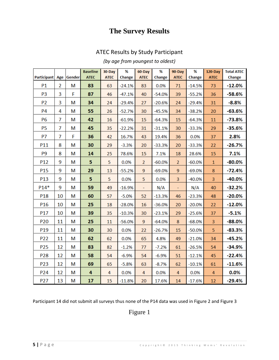# **The Survey Results**

## ATEC Results by Study Participant

## *(by age from youngest to oldest)*

|                    |    |            | <b>Baseline</b> | 30-Day      | %        | 60-Day                   | %        | 90-Day         | %        | $120 - Day$  | <b>Total ATEC</b> |
|--------------------|----|------------|-----------------|-------------|----------|--------------------------|----------|----------------|----------|--------------|-------------------|
| <b>Participant</b> |    | Age Gender | <b>ATEC</b>     | <b>ATEC</b> | Change   | <b>ATEC</b>              | Change   | <b>ATEC</b>    | Change   | <b>ATEC</b>  | Change            |
| P1                 | 2  | м          | 83              | 63          | $-24.1%$ | 83                       | 0.0%     | 71             | $-14.5%$ | 73           | $-12.0%$          |
| P <sub>3</sub>     | 3  | F          | 87              | 46          | $-47.1%$ | 40                       | $-54.0%$ | 39             | $-55.2%$ | 36           | -58.6%            |
| P <sub>2</sub>     | 3  | M          | 34              | 24          | $-29.4%$ | 27                       | $-20.6%$ | 24             | $-29.4%$ | 31           | $-8.8%$           |
| <b>P4</b>          | 4  | M          | 55              | 26          | $-52.7%$ | 30                       | $-45.5%$ | 34             | $-38.2%$ | 20           | $-63.6%$          |
| <b>P6</b>          | 7  | М          | 42              | 16          | $-61.9%$ | 15                       | $-64.3%$ | 15             | $-64.3%$ | 11           | $-73.8%$          |
| <b>P5</b>          | 7  | M          | 45              | 35          | $-22.2%$ | 31                       | $-31.1%$ | 30             | $-33.3%$ | 29           | $-35.6%$          |
| P7                 | 7  | F          | 36              | 42          | 16.7%    | 43                       | 19.4%    | 36             | 0.0%     | 37           | 2.8%              |
| P11                | 8  | M          | 30              | 29          | $-3.3%$  | 20                       | $-33.3%$ | 20             | $-33.3%$ | 22           | $-26.7%$          |
| P <sub>9</sub>     | 8  | M          | 14              | 25          | 78.6%    | 15                       | 7.1%     | 18             | 28.6%    | 15           | 7.1%              |
| P12                | 9  | М          | 5               | 5           | 0.0%     | $\overline{2}$           | $-60.0%$ | $\overline{2}$ | $-60.0%$ | $\mathbf{1}$ | $-80.0%$          |
| P15                | 9  | M          | 29              | 13          | $-55.2%$ | 9                        | $-69.0%$ | 9              | $-69.0%$ | 8            | $-72.4%$          |
| P <sub>13</sub>    | 9  | М          | 5               | 5           | 0.0%     | 5                        | 0.0%     | 3              | $-40.0%$ | 3            | $-40.0%$          |
| $P14*$             | 9  | M          | 59              | 49          | $-16.9%$ | $\overline{\phantom{a}}$ | N/A      | $\blacksquare$ | N/A      | 40           | $-32.2%$          |
| P18                | 10 | M          | 60              | 57          | $-5.0%$  | 52                       | $-13.3%$ | 46             | $-23.3%$ | 48           | $-20.0%$          |
| P <sub>16</sub>    | 10 | M          | 25              | 18          | $-28.0%$ | 16                       | $-36.0%$ | 20             | $-20.0%$ | 22           | $-12.0%$          |
| P17                | 10 | М          | 39              | 35          | $-10.3%$ | 30                       | $-23.1%$ | 29             | $-25.6%$ | 37           | $-5.1%$           |
| P <sub>20</sub>    | 11 | M          | 25              | 11          | $-56.0%$ | 9                        | $-64.0%$ | 8              | $-68.0%$ | 3            | $-88.0%$          |
| P19                | 11 | M          | 30              | 30          | 0.0%     | 22                       | $-26.7%$ | 15             | $-50.0%$ | 5            | $-83.3%$          |
| P22                | 11 | M          | 62              | 62          | 0.0%     | 65                       | 4.8%     | 49             | $-21.0%$ | 34           | $-45.2%$          |
| P <sub>25</sub>    | 12 | M          | 83              | 82          | $-1.2%$  | 77                       | $-7.2%$  | 61             | $-26.5%$ | 54           | $-34.9%$          |
| P <sub>28</sub>    | 12 | M          | 58              | 54          | $-6.9%$  | 54                       | $-6.9%$  | 51             | $-12.1%$ | 45           | $-22.4%$          |
| P23                | 12 | M          | 69              | 65          | $-5.8%$  | 63                       | $-8.7%$  | 62             | $-10.1%$ | 61           | $-11.6%$          |
| P24                | 12 | M          | 4               | 4           | 0.0%     | 4                        | 0.0%     | 4              | 0.0%     | 4            | 0.0%              |
| P27                | 13 | М          | 17              | 15          | $-11.8%$ | 20                       | 17.6%    | 14             | $-17.6%$ | 12           | $-29.4%$          |

Participant 14 did not submit all surveys thus none of the P14 data was used in Figure 2 and Figure 3

# Figure 1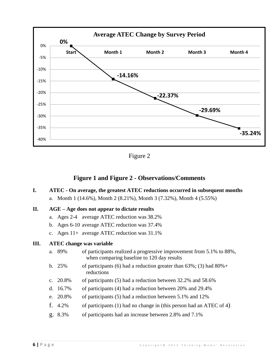

Figure 2

## **Figure 1 and Figure 2 - Observations/Comments**

**I. ATEC - On average, the greatest ATEC reductions occurred in subsequent months** a. Month 1 (14.6%), Month 2 (8.21%), Month 3 (7.32%), Month 4 (5.55%)

### **II. AGE – Age does not appear to dictate results**

- a. Ages 2-4 average ATEC reduction was 38.2%
- b. Ages 6-10 average ATEC reduction was 37.4%
- c. Ages 11+ average ATEC reduction was 31.1%

#### **III. ATEC change was variable**

- a. 89% of participants realized a progressive improvement from 5.1% to 88%, when comparing baseline to 120 day results
- b. 25% of participants (6) had a reduction greater than  $63\%$ ; (3) had  $80\%$ + reductions
- c. 20.8% of participants (5) had a reduction between 32.2% and 58.6%
- d. 16.7% of participants (4) had a reduction between 20% and 29.4%
- e. 20.8% of participants (5) had a reduction between 5.1% and 12%
- f. 4.2% of participants (1) had no change in (this person had an ATEC of 4)
- g. 8.3% of participants had an increase between 2.8% and 7.1%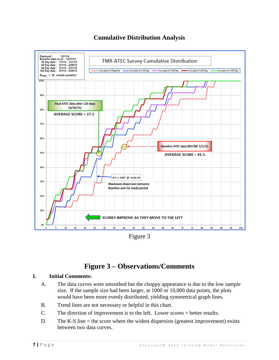

## **Cumulative Distribution Analysis**

Figure 3

# **Figure 3 – Observations/Comments**

## **I. Initial Comments:**

- A. The data curves were smoothed but the choppy appearance is due to the low sample size. If the sample size had been larger, at 1000 or 10,000 data points, the plots would have been more evenly distributed, yielding symmetrical graph lines.
- B. Trend lines are not necessary or helpful in this chart.
- C. The direction of improvement is to the left. Lower scores = better results.
- D. The K-S line  $=$  the score where the widest dispersion (greatest improvement) exists between two data curves.